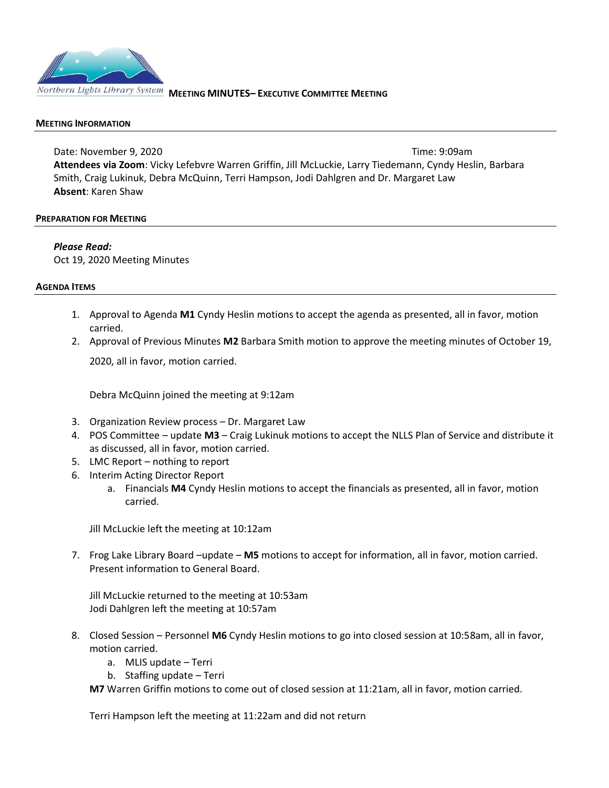

### **MEETING INFORMATION**

Date: November 9, 2020 **Time: 9:09am Attendees via Zoom**: Vicky Lefebvre Warren Griffin, Jill McLuckie, Larry Tiedemann, Cyndy Heslin, Barbara Smith, Craig Lukinuk, Debra McQuinn, Terri Hampson, Jodi Dahlgren and Dr. Margaret Law **Absent**: Karen Shaw

#### **PREPARATION FOR MEETING**

*Please Read:* Oct 19, 2020 Meeting Minutes

#### **AGENDA ITEMS**

- 1. Approval to Agenda **M1** Cyndy Heslin motions to accept the agenda as presented, all in favor, motion carried.
- 2. Approval of Previous Minutes **M2** Barbara Smith motion to approve the meeting minutes of October 19,

2020, all in favor, motion carried.

Debra McQuinn joined the meeting at 9:12am

- 3. Organization Review process Dr. Margaret Law
- 4. POS Committee update **M3** Craig Lukinuk motions to accept the NLLS Plan of Service and distribute it as discussed, all in favor, motion carried.
- 5. LMC Report nothing to report
- 6. Interim Acting Director Report
	- a. Financials **M4** Cyndy Heslin motions to accept the financials as presented, all in favor, motion carried.

Jill McLuckie left the meeting at 10:12am

7. Frog Lake Library Board –update – **M5** motions to accept for information, all in favor, motion carried. Present information to General Board.

Jill McLuckie returned to the meeting at 10:53am Jodi Dahlgren left the meeting at 10:57am

- 8. Closed Session Personnel **M6** Cyndy Heslin motions to go into closed session at 10:58am, all in favor, motion carried.
	- a. MLIS update Terri
	- b. Staffing update Terri

**M7** Warren Griffin motions to come out of closed session at 11:21am, all in favor, motion carried.

Terri Hampson left the meeting at 11:22am and did not return